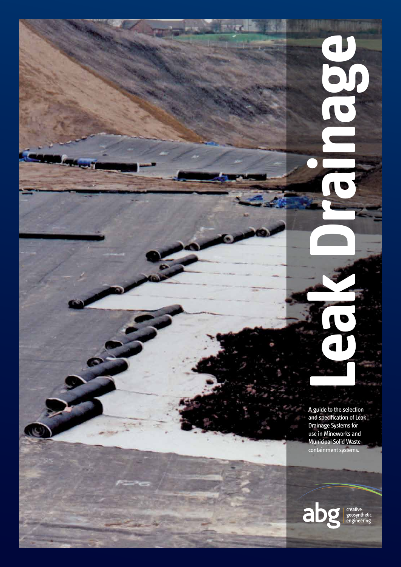A guide to the selection and specification of Leak Drainage Systems for use in Mineworks and Municipal Solid Waste containment systems.

**Leak Drainage**

J

CCC

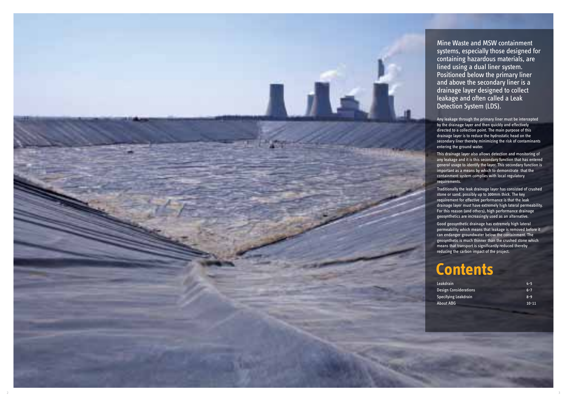| <b>Leakdrain</b>             | $4 - 5$   |
|------------------------------|-----------|
| <b>Design Considerations</b> | $6 - 7$   |
| Specifying Leakdrain         | $8 - 9$   |
| About ABG                    | $10 - 11$ |

# **Contents**

Mine Waste and MSW containment systems, especially those designed for containing hazardous materials, are lined using a dual liner system. Positioned below the primary liner and above the secondary liner is a drainage layer designed to collect leakage and often called a Leak Detection System (LDS).

Any leakage through the primary liner must be intercepted by the drainage layer and then quickly and effectively directed to a collection point. The main purpose of this drainage layer is to reduce the hydrostatic head on the secondary liner thereby minimizing the risk of contaminants entering the ground water.

This drainage layer also allows detection and monitoring of any leakage and it is this secondary function that has entered general usage to identify the layer. This secondary function is important as a means by which to demonstrate that the containment system complies with local regulatory requirements.

Traditionally the leak drainage layer has consisted of crushed stone or sand, possibly up to 300mm thick. The key requirement for effective performance is that the leak drainage layer must have extremely high lateral permeability. For this reason (and others), high performance drainage geosynthetics are increasingly used as an alternative.

Good geosynthetic drainage has extremely high lateral permeability which means that leakage is removed before it can endanger groundwater below the containment. The geosynthetic is much thinner than the crushed stone which means that transport is significantly reduced thereby reducing the carbon impact of the project.

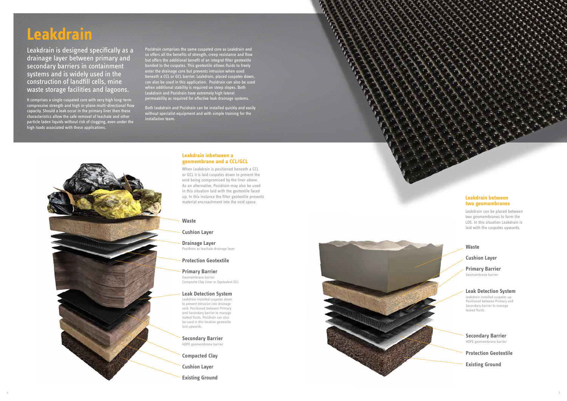# **Leakdrain**

# **Leakdrain inbetween a geomembrane and a CCL/GCL**

When Leakdrain is positioned beneath a CCL or GCL it is laid cuspates down to prevent the void being compromised by the liner above. As an alternative, Pozidrain may also be used in this situation laid with the geotextile faced up. In this instance the filter geotextile prevents material encroachment into the void space.

Leakdrain is designed specifically as a drainage layer between primary and secondary barriers in containment systems and is widely used in the construction of landfill cells, mine waste storage facilities and lagoons.

It comprises a single cuspated core with very high long-term compressive strength and high in-plane multi-directional flow capacity. Should a leak occur in the primary liner then these characteristics allow the safe removal of leachate and other particle laden liquids without risk of clogging, even under the high loads associated with these applications.

Pozidrain comprises the same cuspated core as Leakdrain and so offers all the benefits of strength, creep resistance and flow but offers the additional benefit of an integral filter geotextile bonded to the cuspates. This geotextile allows fluids to freely enter the drainage core but prevents intrusion when used beneath a CCL or GCL barrier. Leakdrain, placed cuspates down, can also be used in this application. Pozidrain can also be used when additional stability is required on steep slopes. Both Leakdrain and Pozidrain have extremely high lateral permeability as required for effective leak drainage systems.

Both Leakdrain and Pozidrain can be installed quickly and easily without specialist equipment and with simple training for the installation team.



# **Leakdrain between two geomembranes**

Leakdrain can be placed between two geomembranes to form the LDS. In this situation Leakdrain is laid with the cuspates upwards.

4

# **Waste**

# **Cushion Layer**

**Drainage Layer** Pozidrain as leachate drainage layer

# **Protection Geotextile**

**Primary Barrier** Geomembrane barrier Composite Clay Liner or Equivalent GCL

#### **Leak Detection System**

Leakdrain installed cuspates down to prevent intrusion into drainage void. Positioned between Primary and Secondary barrier to manage leaked fluids. Pozidrain can also be used in this location geotextile laid upwards.

**Secondary Barrier** HDPE geomembrane barrier

**Compacted Clay**

**Cushion Layer**

**Existing Ground**



# **Waste**

**Cushion Layer**

### **Primary Barrier** Geomembrane barrier

# **Leak Detection System**

Leakdrain installed cuspates up. Positioned between Primary and Secondary barrier to manage leaked fluids.

### **Secondary Barrier** HDPE geomembrane barrier

**Protection Geotextile**

**Existing Ground**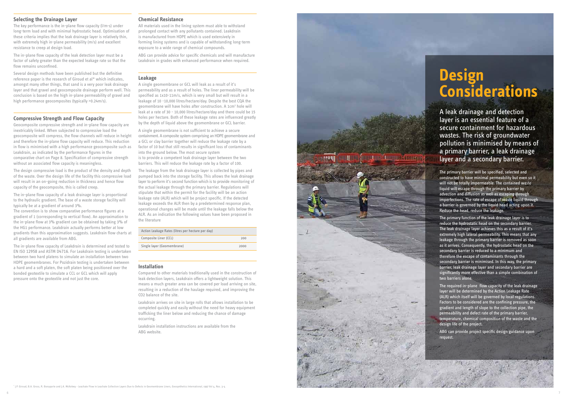# **Selecting the Drainage Layer**

The key performance is the in-plane flow capacity (l/m·s) under long-term load and with minimal hydrostatic head. Optimisation of these criteria implies that the leak drainage layer is relatively thin, with extremely high in-plane permeability (m/s) and excellent resistance to creep at design load.

The in-plane flow capacity of the leak detection layer must be a factor of safety greater than the expected leakage rate so that the flow remains unconfined.

Several design methods have been published but the definitive reference paper is the research of Giroud et al\* which indicates, amongst many other things, that sand is a very poor leak drainage layer and that gravel and geocomposite drainage perform well. This conclusion is based on the high in-plane permeability of gravel and high performance geocomposites (typically >0.24m/s).

# **Compressive Strength and Flow Capacity**

Geocomposite compressive strength and in-plane flow capacity are inextricably linked. When subjected to compressive load the geocomposite will compress, the flow channels will reduce in height and therefore the in-plane flow capacity will reduce. This reduction in flow is minimised with a high performance geocomposite such as Leakdrain, as indicated by the performance figures in the comparative chart on Page 8. Specification of compressive strength without an associated flow capacity is meaningless.

The design compressive load is the product of the density and depth of the waste. Over the design life of the facility this compressive load will result in an on-going reduction in thickness and hence flow capacity of the geocomposite, this is called creep.

The in-plane flow capacity of a leak drainage layer is proportional to the hydraulic gradient. The base of a waste storage facility will typically be at a gradient of around 3%.

The convention is to show comparative performance figures at a gradient of 1 (corresponding to vertical flow). An approximation to the in-plane flow at 3% gradient can be obtained by taking 3% of the HG1 performance. Leakdrain actually performs better at low gradients than this approximation suggests. Leakdrain flow charts at all gradients are available from ABG.

The in-plane flow capacity of Leakdrain is determined and tested to EN ISO 12958 and ASTM D4716. For Leakdrain testing is undertaken between two hard platens to simulate an installation between two HDPE geomembranes. For Pozidrain testing is undertaken between a hard and a soft platen, the soft platen being positioned over the bonded geotextile to simulate a CCL or GCL which will apply pressure onto the geotextile and not just the core.

### **Chemical Resistance**

All materials used in the lining system must able to withstand prolonged contact with any pollutants contained. Leakdrain is manufactured from HDPE which is used extensively in forming lining systems and is capable of withstanding long-term exposure to a wide range of chemical compounds.

ABG can provide advice for specific chemicals and will manufacture Leakdrain in grades with enhanced performance when required.

#### **Leakage**

A single geomembrane or GCL will leak as a result of it's permeability and as a result of holes. The liner permeability will be specified as 1x10-11m/s, which is very small but will result in a leakage of 10 -10,000 litres/hectare/day. Despite the best CQA the geomembrane will have holes after construction. A 1cm<sup>2</sup> hole will leak at a rate of 30 - 10,000 litres/hectare/day and there could be 15 holes per hectare. Both of these leakage rates are influenced greatly by the depth of liquid above the geomembrane or GCL barrier.

A single geomembrane is not sufficient to achieve a secure containment. A composite system comprising an HDPE geomembrane and a GCL or clay barrier together will reduce the leakage rate by a factor of 10 but that still results in significant loss of contaminants into the ground below. The most secure system is to provide a competent leak drainage layer between the two barriers. This will reduce the leakage rate by a factor of 100.

The leakage from the leak drainage layer is collected by pipes and pumped back into the storage facility. This allows the leak drainage layer to perform it's second function which is to provide monitoring of the actual leakage through the primary barrier. Regulations will stipulate that within the permit for the facility will be an action leakage rate (ALR) which will be project specific. If the detected leakage exceeds the ALR then by a predetermined response plan, operational changes will be made until the leakage falls below the ALR. As an indication the following values have been proposed in the literature

| Action Leakage Rates (litres per hectare per day) |      |
|---------------------------------------------------|------|
| Composite Liner (CCL)                             | 200  |
| Single layer (Geomembrane)                        | 2000 |

#### **Installation**

Compared to other materials traditionally used in the construction of leak detection layers, Leakdrain offers a lightweight solution. This means a much greater area can be covered per load arriving on site, resulting in a reduction of the haulage required, and improving the CO2 balance of the site.

Leakdrain arrives on site in large rolls that allows installation to be completed quickly and easily without the need for heavy equipment trafficking the liner below and reducing the chance of damage occurring.

Leakdrain installation instructions are available from the ABG website.



# **Design Considerations**

A leak drainage and detection layer is an essential feature of a secure containment for hazardous wastes. The risk of groundwater pollution is minimised by means of a primary barrier, a leak drainage layer and a secondary barrier.

The primary barrier will be specified, selected and constructed to have minimal permeability but even so it will not be totally impermeable. The contained waste liquid will escape through the primary barrier by advection and diffusion as well as escaping through imperfections. The rate of escape of waste liquid through a barrier is governed by the liquid head acting upon it. Reduce the head, reduce the leakage.

The primary function of the leak drainage layer is to reduce the hydrostatic head on the secondary barrier. The leak drainage layer achieves this as a result of it's extremely high lateral permeability. This means that any leakage through the primary barrier is removed as soon as it arrives. Consequently, the hydrostatic head on the secondary barrier is reduced to a minimum and therefore the escape of contaminants through the secondary barrier is minimised. In this way, the primary barrier, leak drainage layer and secondary barrier are significantly more effective than a simple combination of two barriers alone.

The required in-plane flow capacity of the leak drainage layer will be determined by the Action Leakage Rate (ALR) which itself will be governed by local regulations. Factors to be considered are the confining pressure, the gradient and length of slope to the collection pipe, the permeability and defect rate of the primary barrier, temperature, chemical composition of the waste and the design life of the project.

ABG can provide project specific design guidance upon request.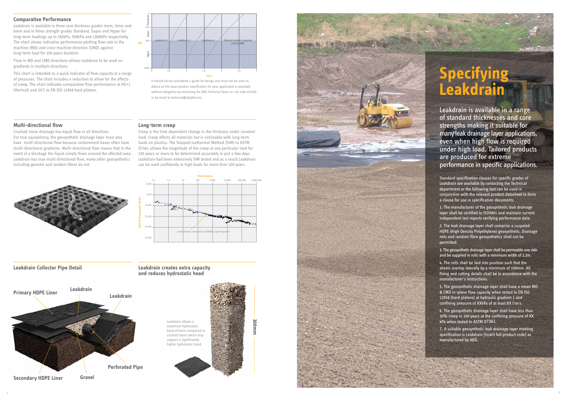# **Specifying Leakdrain**

Leakdrain is available in a range of standard thicknesses and core strengths making it suitable for many leak drainage layer applications, even when high flow is required under high load. Tailored products are produced for extreme performance in specific applications.

Standard specification clauses for specific grades of Leakdrain are available by contacting the Technical department or the following text can be used in conjunction with the relevant product datasheet to form a clause for use in specification documents.

1. The manufacturer of the geosynthetic leak drainage layer shall be certified to ISO9001 and maintain current independent test reports verifying performance data.

2. The leak drainage layer shall comprise a cuspated HDPE (High Density Polyethylene) geosynthetic. Drainage nets and random fibre geosynthetics shall not be permitted.

3. The geosynthetic drainage layer shall be permeable one side and be supplied in rolls with a minimum width of 2.2m.

This chart is intended as a quick indicator of flow capacity at a range of pressures. The chart includes a reduction to allow for the effects of creep. The chart indicates comparative flow performance at HG=1 (Vertical) and 20°C to EN ISO 12958 hard platens.

> 4. The rolls shall be laid into position such that the sheets overlap laterally by a minimum of 100mm. All fixing and cutting details shall be in accordance with the manufacturer's instructions.

5. The geosynthetic drainage layer shall have a mean MD & CMD in-plane flow capacity when tested to EN ISO 12958 (hard platens) at hydraulic gradient 1 and confining pressure of XXkPa of at least XX l/m·s.

It should not be considered a guide for design and must not be used so. Advice on the exact product specification for your application is available without obligation by contacting the ABG Technical Team on +44 1484 852250 or by email to technical@abgltd.com.

> 6. The geosynthetic drainage layer shall have less than 20% creep in 100 years at the confining pressure of XX kPa when tested to ASTM D7361 .

> 7. A suitable geosynthetic leak drainage layer meeting specification is Leakdrain [Insert full product code] as manufactured by ABG.

# **Comparative Performance**

Leakdrain is available in three core thickness grades 3mm, 5mm and 6mm and in three strength grades Standard, Super and Hyper for long-term loadings up to 250kPa, 500kPa and 1000kPa respectively. The chart shows indicative performance plotting flow rate in the machine (MD) and cross-machine direction (CMD) against long-term load for 100 years duration.

Flow in MD and CMD directions allows Leakdrain to be used on gradients in multiple directions.







### **Multi-directional flow**

Crushed stone drainage has equal flow in all directions. For true equivalency, the geosynthetic drainage layer must also have multi-directional flow because containment bases often have multi-directional gradients. Multi-directional flow means that in the event of a blockage the liquid simply flows around the affected area. Leakdrain has true multi-directional flow, many other geosynthetics including geonets and random fibres do not.



#### **Long-term creep**

Creep is the time dependent change in the thickness under constant load. Creep affects all materials but is noticeable with long-term loads on plastics. The Stepped Isothermal Method (SIM) to ASTM D7361 allows the magnitude of the creep at any particular load for 100 years or more to be determined accurately in just a few days. Leakdrain had been extensively SIM tested and as a result Leakdrain can be used confidently at high loads for more than 100 years.



#### **Leakdrain Collector Pipe Detail Leakdrain creates extra capacity**

**and reduces hydrostatic head**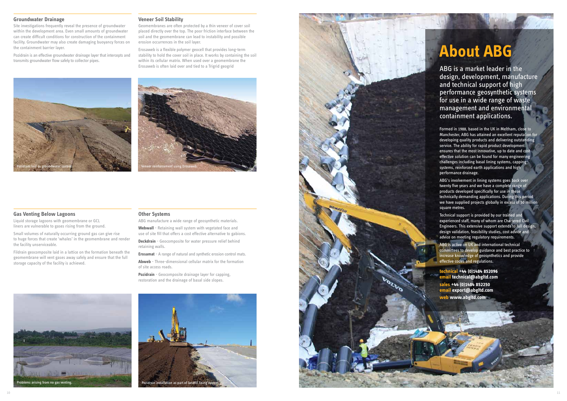ABG is a market leader in the design, development, manufacture and technical support of high performance geosynthetic systems for use in a wide range of waste management and environmental containment applications.

ABG's involvement in lining systems goes back over twenty five years and we have a complete range of products developed specifically for use in these technically demanding applications. During this period we have supplied projects globally in excess of 50 million square metres.

Formed in 1988, based in the UK in Meltham, close to Manchester, ABG has attained an excellent reputation for developing quality products and delivering outstanding service. The ability for rapid product development ensures that the most innovative, up to date and cost effective solution can be found for many engineering challenges including basal lining systems, capping systems, reinforced earth applications and high performance drainage.

Technical support is provided by our trained and experienced staff, many of whom are Chartered Civil Engineers. This extensive support extends to full design, design validation, feasibility studies, cost advice and advice on meeting regulatory requirements.

ABG is active on UK and international technical committees to develop guidance and best practice to increase knowledge of geosynthetics and provide effective codes and regulations.

**technical +44 (0)1484 852096 email technical@abgltd.com sales +44 ( 0)1484 852250 email export@abgltd.com web www.abgltd.com**

# **About ABG**

# **Groundwater Drainage**

Site investigations frequently reveal the presence of groundwater within the development area. Even small amounts of groundwater can create difficult conditions for construction of the containment facility. Groundwater may also create damaging buoyancy forces on the containment barrier layer.

Pozidrain is an effective groundwater drainage layer that intercepts and transmits groundwater flow safely to collector pipes.

#### **Veneer Soil Stability**

Geomembranes are often protected by a thin veneer of cover soil placed directly over the top. The poor friction interface between the soil and the geomembrane can lead to instability and possible erosion occurrences in the soil layer.

Erosaweb is a flexible polymer geocell that provides long-term stability to hold the cover soil in place. It works by containing the soil within its cellular matrix. When used over a geomembrane the Erosaweb is often laid over and tied to a Trigrid geogrid

## **Gas Venting Below Lagoons**

Liquid storage lagoons with geomembrane or GCL liners are vulnerable to gases rising from the ground.

Small volumes of naturally occurring ground gas can give rise to huge forces that create 'whales' in the geomembrane and render the facility unserviceable.

Fildrain geocomposite laid in a lattice on the formation beneath the geomembrane will vent gases away safely and ensure that the full storage capacity of the facility is achieved.

#### **Other Systems**

ABG manufacture a wide range of geosynthetic materials. **Webwall** - Retaining wall system with vegetated face and

use of site fill that offers a cost effective alternative to gabions. **Deckdrain** - Geocomposite for water pressure relief behind retaining walls.

**Erosamat** - A range of natural and synthetic erosion control mats.

**Abweb** - Three-dimensional cellular matrix for the formation of site access roads.

**Pozidrain** - Geocomposite drainage layer for capping, restoration and the drainage of basal side slopes.